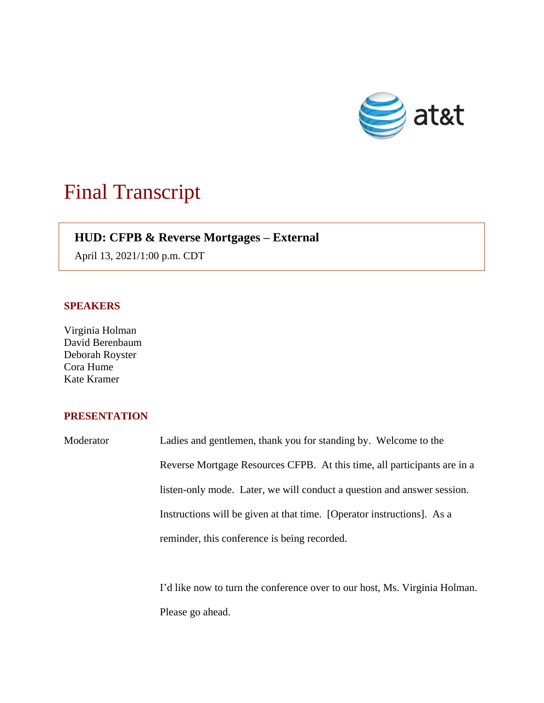

## Final Transcript

## **HUD: CFPB & Reverse Mortgages – External**

April 13, 2021/1:00 p.m. CDT

## **SPEAKERS**

Virginia Holman David Berenbaum Deborah Royster Cora Hume Kate Kramer

## **PRESENTATION**

Moderator Ladies and gentlemen, thank you for standing by. Welcome to the Reverse Mortgage Resources CFPB. At this time, all participants are in a listen-only mode. Later, we will conduct a question and answer session. Instructions will be given at that time. [Operator instructions]. As a reminder, this conference is being recorded.

> I'd like now to turn the conference over to our host, Ms. Virginia Holman. Please go ahead.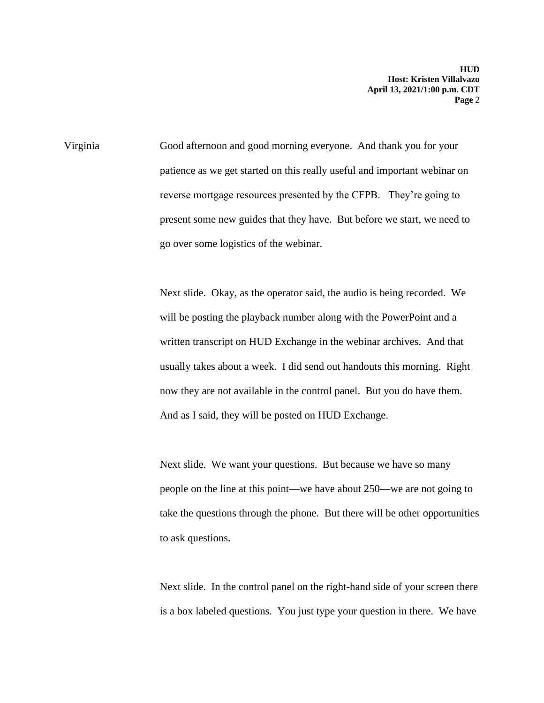Virginia Good afternoon and good morning everyone. And thank you for your patience as we get started on this really useful and important webinar on reverse mortgage resources presented by the CFPB. They're going to present some new guides that they have. But before we start, we need to go over some logistics of the webinar.

> Next slide. Okay, as the operator said, the audio is being recorded. We will be posting the playback number along with the PowerPoint and a written transcript on HUD Exchange in the webinar archives. And that usually takes about a week. I did send out handouts this morning. Right now they are not available in the control panel. But you do have them. And as I said, they will be posted on HUD Exchange.

Next slide. We want your questions. But because we have so many people on the line at this point—we have about 250—we are not going to take the questions through the phone. But there will be other opportunities to ask questions.

Next slide. In the control panel on the right-hand side of your screen there is a box labeled questions. You just type your question in there. We have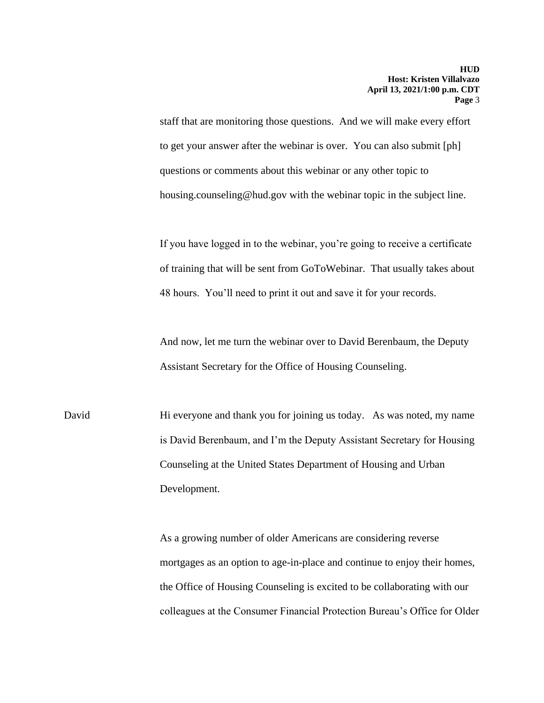staff that are monitoring those questions. And we will make every effort to get your answer after the webinar is over. You can also submit [ph] questions or comments about this webinar or any other topic to housing.counseling@hud.gov with the webinar topic in the subject line.

If you have logged in to the webinar, you're going to receive a certificate of training that will be sent from GoToWebinar. That usually takes about 48 hours. You'll need to print it out and save it for your records.

And now, let me turn the webinar over to David Berenbaum, the Deputy Assistant Secretary for the Office of Housing Counseling.

David Hi everyone and thank you for joining us today. As was noted, my name is David Berenbaum, and I'm the Deputy Assistant Secretary for Housing Counseling at the United States Department of Housing and Urban Development.

> As a growing number of older Americans are considering reverse mortgages as an option to age-in-place and continue to enjoy their homes, the Office of Housing Counseling is excited to be collaborating with our colleagues at the Consumer Financial Protection Bureau's Office for Older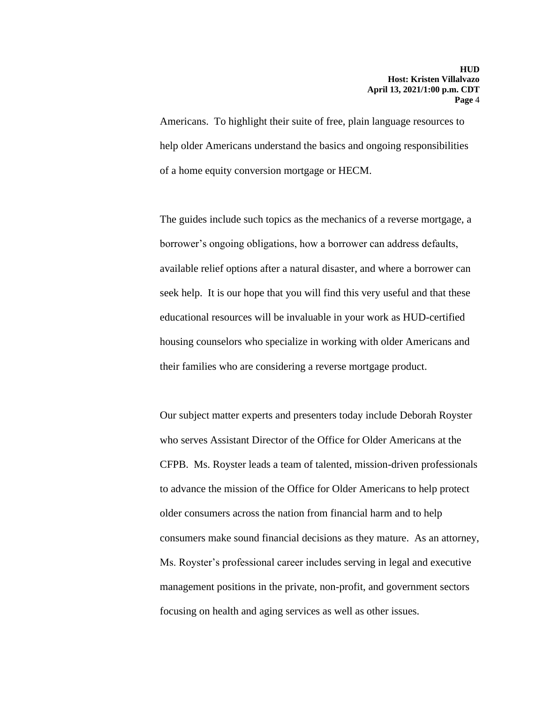Americans. To highlight their suite of free, plain language resources to help older Americans understand the basics and ongoing responsibilities of a home equity conversion mortgage or HECM.

The guides include such topics as the mechanics of a reverse mortgage, a borrower's ongoing obligations, how a borrower can address defaults, available relief options after a natural disaster, and where a borrower can seek help. It is our hope that you will find this very useful and that these educational resources will be invaluable in your work as HUD-certified housing counselors who specialize in working with older Americans and their families who are considering a reverse mortgage product.

Our subject matter experts and presenters today include Deborah Royster who serves Assistant Director of the Office for Older Americans at the CFPB. Ms. Royster leads a team of talented, mission-driven professionals to advance the mission of the Office for Older Americans to help protect older consumers across the nation from financial harm and to help consumers make sound financial decisions as they mature. As an attorney, Ms. Royster's professional career includes serving in legal and executive management positions in the private, non-profit, and government sectors focusing on health and aging services as well as other issues.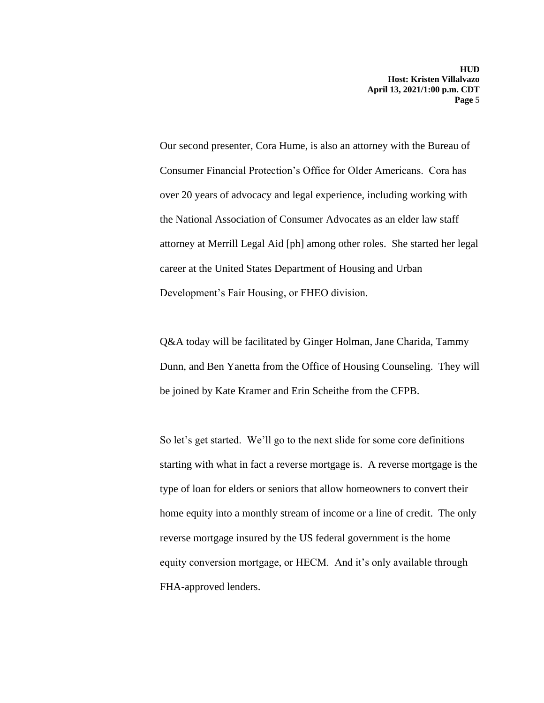Our second presenter, Cora Hume, is also an attorney with the Bureau of Consumer Financial Protection's Office for Older Americans. Cora has over 20 years of advocacy and legal experience, including working with the National Association of Consumer Advocates as an elder law staff attorney at Merrill Legal Aid [ph] among other roles. She started her legal career at the United States Department of Housing and Urban Development's Fair Housing, or FHEO division.

Q&A today will be facilitated by Ginger Holman, Jane Charida, Tammy Dunn, and Ben Yanetta from the Office of Housing Counseling. They will be joined by Kate Kramer and Erin Scheithe from the CFPB.

So let's get started. We'll go to the next slide for some core definitions starting with what in fact a reverse mortgage is. A reverse mortgage is the type of loan for elders or seniors that allow homeowners to convert their home equity into a monthly stream of income or a line of credit. The only reverse mortgage insured by the US federal government is the home equity conversion mortgage, or HECM. And it's only available through FHA-approved lenders.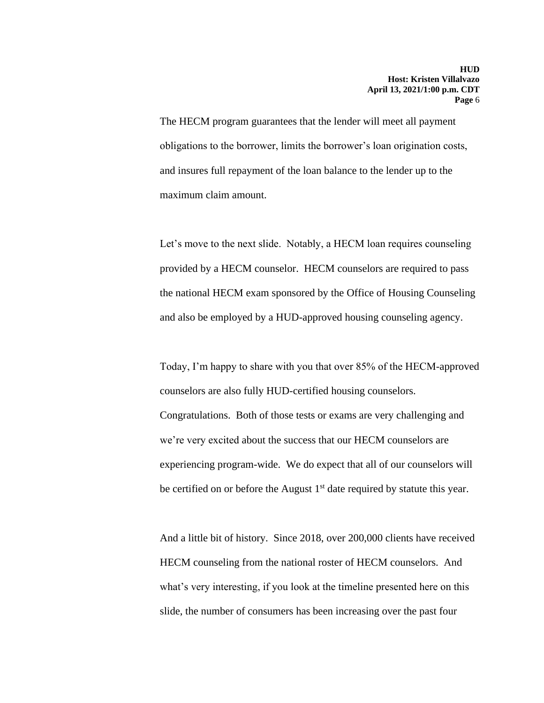The HECM program guarantees that the lender will meet all payment obligations to the borrower, limits the borrower's loan origination costs, and insures full repayment of the loan balance to the lender up to the maximum claim amount.

Let's move to the next slide. Notably, a HECM loan requires counseling provided by a HECM counselor. HECM counselors are required to pass the national HECM exam sponsored by the Office of Housing Counseling and also be employed by a HUD-approved housing counseling agency.

Today, I'm happy to share with you that over 85% of the HECM-approved counselors are also fully HUD-certified housing counselors. Congratulations. Both of those tests or exams are very challenging and we're very excited about the success that our HECM counselors are experiencing program-wide. We do expect that all of our counselors will be certified on or before the August  $1<sup>st</sup>$  date required by statute this year.

And a little bit of history. Since 2018, over 200,000 clients have received HECM counseling from the national roster of HECM counselors. And what's very interesting, if you look at the timeline presented here on this slide, the number of consumers has been increasing over the past four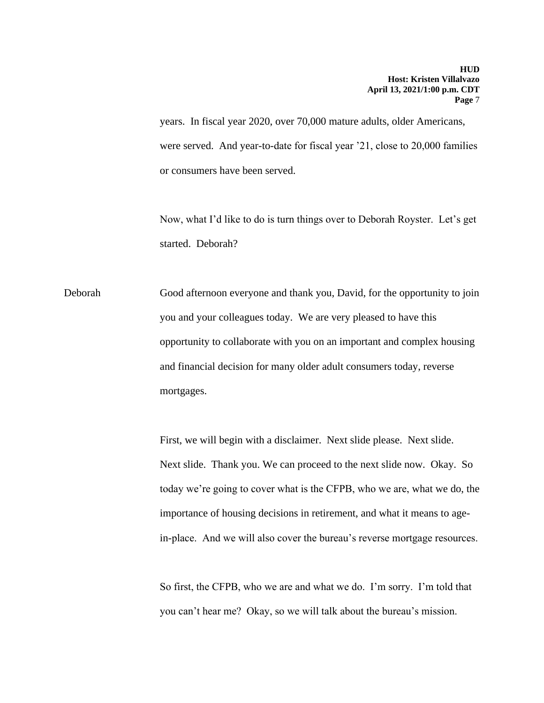years. In fiscal year 2020, over 70,000 mature adults, older Americans, were served. And year-to-date for fiscal year '21, close to 20,000 families or consumers have been served.

Now, what I'd like to do is turn things over to Deborah Royster. Let's get started. Deborah?

Deborah Good afternoon everyone and thank you, David, for the opportunity to join you and your colleagues today. We are very pleased to have this opportunity to collaborate with you on an important and complex housing and financial decision for many older adult consumers today, reverse mortgages.

> First, we will begin with a disclaimer. Next slide please. Next slide. Next slide. Thank you. We can proceed to the next slide now. Okay. So today we're going to cover what is the CFPB, who we are, what we do, the importance of housing decisions in retirement, and what it means to agein-place. And we will also cover the bureau's reverse mortgage resources.

So first, the CFPB, who we are and what we do. I'm sorry. I'm told that you can't hear me? Okay, so we will talk about the bureau's mission.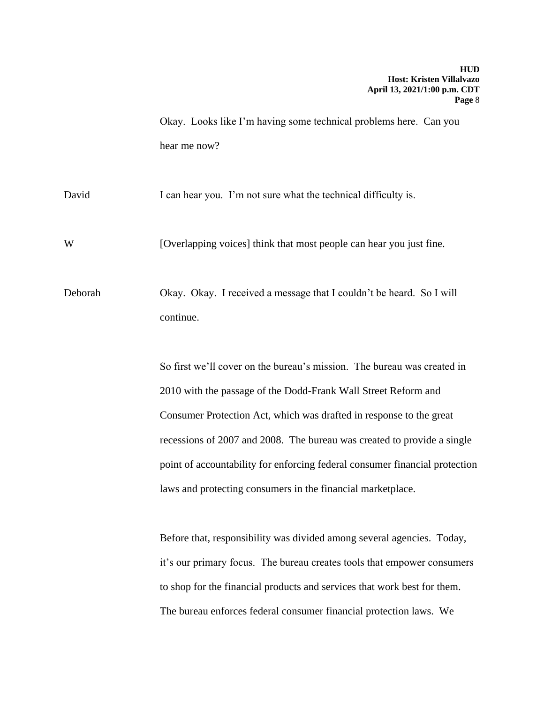Okay. Looks like I'm having some technical problems here. Can you hear me now?

David I can hear you. I'm not sure what the technical difficulty is.

W [Overlapping voices] think that most people can hear you just fine.

Deborah Okay. Okay. I received a message that I couldn't be heard. So I will continue.

> So first we'll cover on the bureau's mission. The bureau was created in 2010 with the passage of the Dodd-Frank Wall Street Reform and Consumer Protection Act, which was drafted in response to the great recessions of 2007 and 2008. The bureau was created to provide a single point of accountability for enforcing federal consumer financial protection laws and protecting consumers in the financial marketplace.

Before that, responsibility was divided among several agencies. Today, it's our primary focus. The bureau creates tools that empower consumers to shop for the financial products and services that work best for them. The bureau enforces federal consumer financial protection laws. We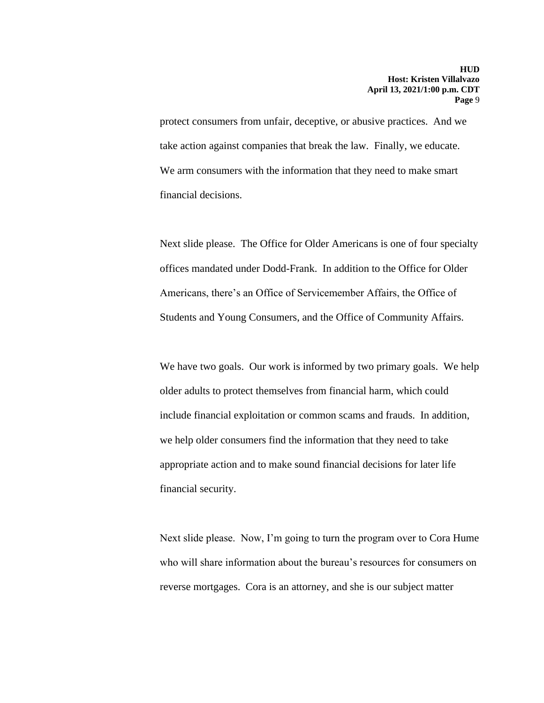protect consumers from unfair, deceptive, or abusive practices. And we take action against companies that break the law. Finally, we educate. We arm consumers with the information that they need to make smart financial decisions.

Next slide please. The Office for Older Americans is one of four specialty offices mandated under Dodd-Frank. In addition to the Office for Older Americans, there's an Office of Servicemember Affairs, the Office of Students and Young Consumers, and the Office of Community Affairs.

We have two goals. Our work is informed by two primary goals. We help older adults to protect themselves from financial harm, which could include financial exploitation or common scams and frauds. In addition, we help older consumers find the information that they need to take appropriate action and to make sound financial decisions for later life financial security.

Next slide please. Now, I'm going to turn the program over to Cora Hume who will share information about the bureau's resources for consumers on reverse mortgages. Cora is an attorney, and she is our subject matter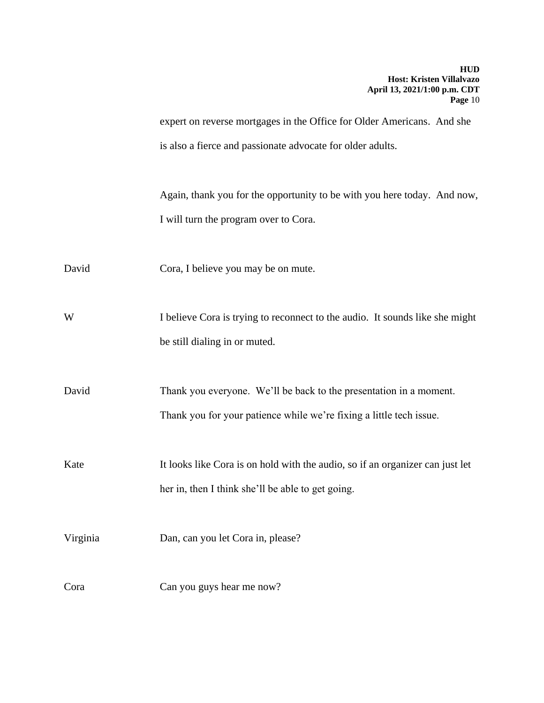expert on reverse mortgages in the Office for Older Americans. And she is also a fierce and passionate advocate for older adults.

Again, thank you for the opportunity to be with you here today. And now, I will turn the program over to Cora.

David Cora, I believe you may be on mute.

W I believe Cora is trying to reconnect to the audio. It sounds like she might be still dialing in or muted.

David Thank you everyone. We'll be back to the presentation in a moment. Thank you for your patience while we're fixing a little tech issue.

Kate It looks like Cora is on hold with the audio, so if an organizer can just let her in, then I think she'll be able to get going.

Virginia Dan, can you let Cora in, please?

Cora Can you guys hear me now?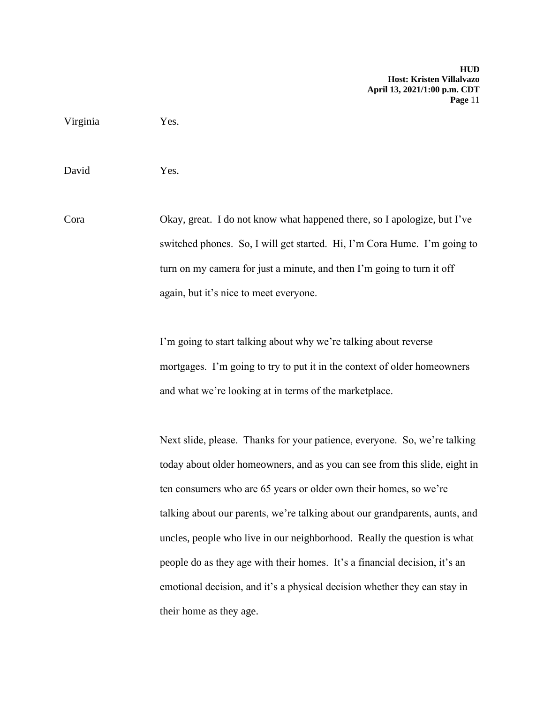Virginia Yes.

David Yes.

Cora Okay, great. I do not know what happened there, so I apologize, but I've switched phones. So, I will get started. Hi, I'm Cora Hume. I'm going to turn on my camera for just a minute, and then I'm going to turn it off again, but it's nice to meet everyone.

> I'm going to start talking about why we're talking about reverse mortgages. I'm going to try to put it in the context of older homeowners and what we're looking at in terms of the marketplace.

Next slide, please. Thanks for your patience, everyone. So, we're talking today about older homeowners, and as you can see from this slide, eight in ten consumers who are 65 years or older own their homes, so we're talking about our parents, we're talking about our grandparents, aunts, and uncles, people who live in our neighborhood. Really the question is what people do as they age with their homes. It's a financial decision, it's an emotional decision, and it's a physical decision whether they can stay in their home as they age.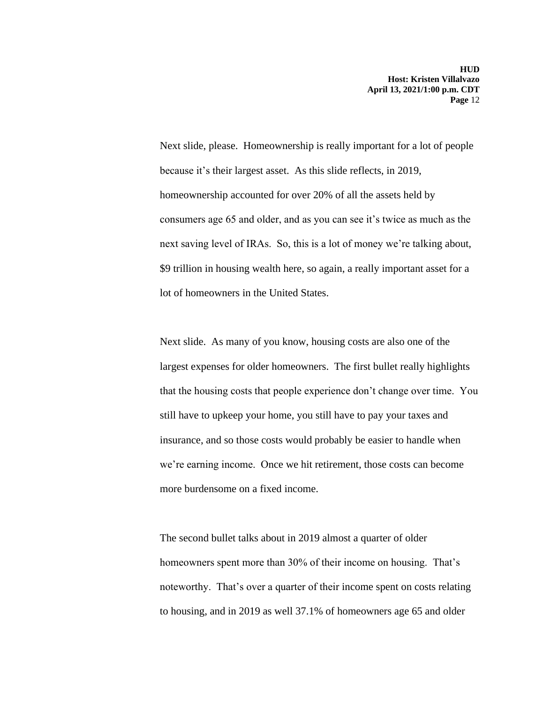Next slide, please. Homeownership is really important for a lot of people because it's their largest asset. As this slide reflects, in 2019, homeownership accounted for over 20% of all the assets held by consumers age 65 and older, and as you can see it's twice as much as the next saving level of IRAs. So, this is a lot of money we're talking about, \$9 trillion in housing wealth here, so again, a really important asset for a lot of homeowners in the United States.

Next slide. As many of you know, housing costs are also one of the largest expenses for older homeowners. The first bullet really highlights that the housing costs that people experience don't change over time. You still have to upkeep your home, you still have to pay your taxes and insurance, and so those costs would probably be easier to handle when we're earning income. Once we hit retirement, those costs can become more burdensome on a fixed income.

The second bullet talks about in 2019 almost a quarter of older homeowners spent more than 30% of their income on housing. That's noteworthy. That's over a quarter of their income spent on costs relating to housing, and in 2019 as well 37.1% of homeowners age 65 and older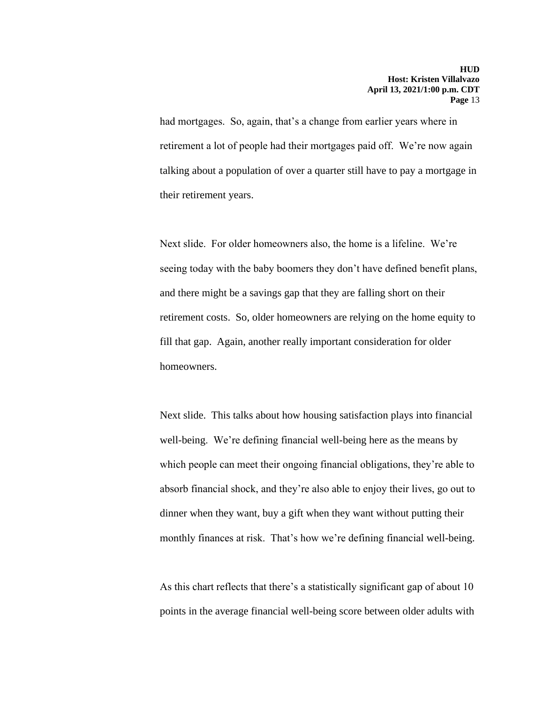had mortgages. So, again, that's a change from earlier years where in retirement a lot of people had their mortgages paid off. We're now again talking about a population of over a quarter still have to pay a mortgage in their retirement years.

Next slide. For older homeowners also, the home is a lifeline. We're seeing today with the baby boomers they don't have defined benefit plans, and there might be a savings gap that they are falling short on their retirement costs. So, older homeowners are relying on the home equity to fill that gap. Again, another really important consideration for older homeowners.

Next slide. This talks about how housing satisfaction plays into financial well-being. We're defining financial well-being here as the means by which people can meet their ongoing financial obligations, they're able to absorb financial shock, and they're also able to enjoy their lives, go out to dinner when they want, buy a gift when they want without putting their monthly finances at risk. That's how we're defining financial well-being.

As this chart reflects that there's a statistically significant gap of about 10 points in the average financial well-being score between older adults with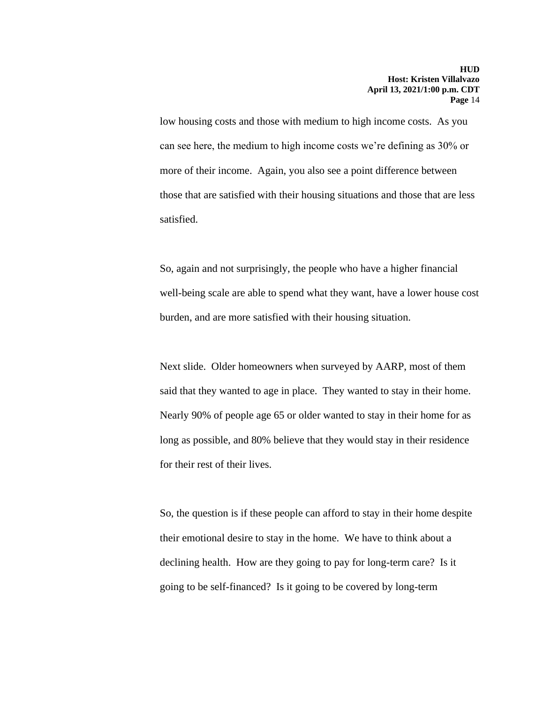low housing costs and those with medium to high income costs. As you can see here, the medium to high income costs we're defining as 30% or more of their income. Again, you also see a point difference between those that are satisfied with their housing situations and those that are less satisfied.

So, again and not surprisingly, the people who have a higher financial well-being scale are able to spend what they want, have a lower house cost burden, and are more satisfied with their housing situation.

Next slide. Older homeowners when surveyed by AARP, most of them said that they wanted to age in place. They wanted to stay in their home. Nearly 90% of people age 65 or older wanted to stay in their home for as long as possible, and 80% believe that they would stay in their residence for their rest of their lives.

So, the question is if these people can afford to stay in their home despite their emotional desire to stay in the home. We have to think about a declining health. How are they going to pay for long-term care? Is it going to be self-financed? Is it going to be covered by long-term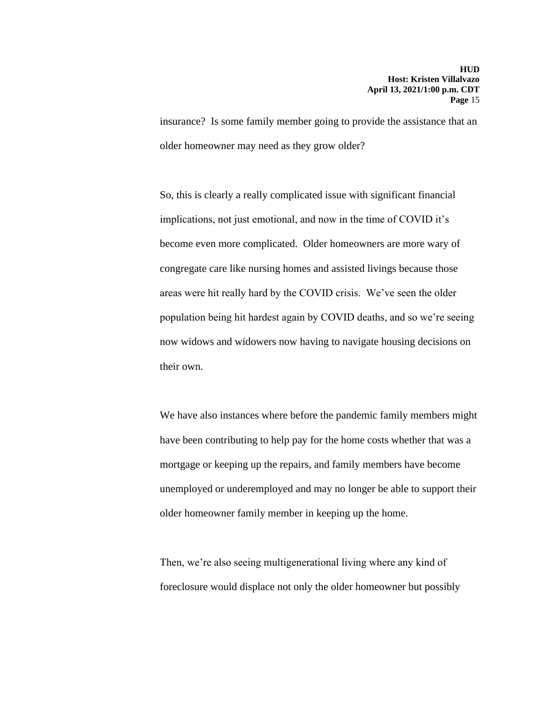insurance? Is some family member going to provide the assistance that an older homeowner may need as they grow older?

So, this is clearly a really complicated issue with significant financial implications, not just emotional, and now in the time of COVID it's become even more complicated. Older homeowners are more wary of congregate care like nursing homes and assisted livings because those areas were hit really hard by the COVID crisis. We've seen the older population being hit hardest again by COVID deaths, and so we're seeing now widows and widowers now having to navigate housing decisions on their own.

We have also instances where before the pandemic family members might have been contributing to help pay for the home costs whether that was a mortgage or keeping up the repairs, and family members have become unemployed or underemployed and may no longer be able to support their older homeowner family member in keeping up the home.

Then, we're also seeing multigenerational living where any kind of foreclosure would displace not only the older homeowner but possibly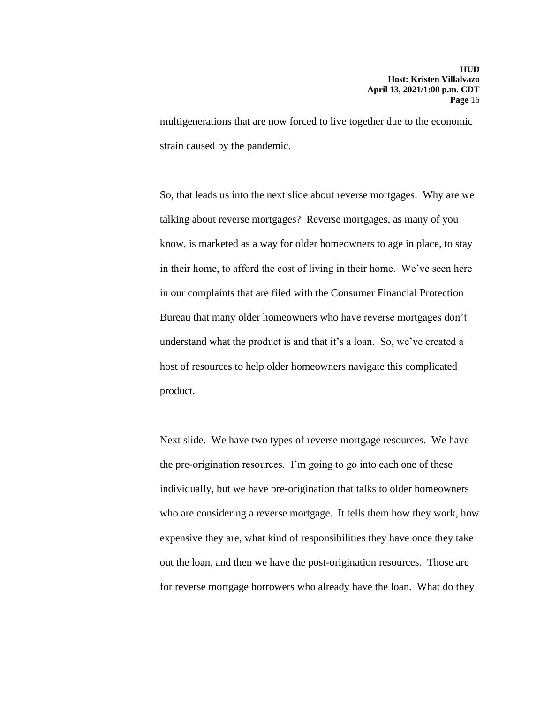multigenerations that are now forced to live together due to the economic strain caused by the pandemic.

So, that leads us into the next slide about reverse mortgages. Why are we talking about reverse mortgages? Reverse mortgages, as many of you know, is marketed as a way for older homeowners to age in place, to stay in their home, to afford the cost of living in their home. We've seen here in our complaints that are filed with the Consumer Financial Protection Bureau that many older homeowners who have reverse mortgages don't understand what the product is and that it's a loan. So, we've created a host of resources to help older homeowners navigate this complicated product.

Next slide. We have two types of reverse mortgage resources. We have the pre-origination resources. I'm going to go into each one of these individually, but we have pre-origination that talks to older homeowners who are considering a reverse mortgage. It tells them how they work, how expensive they are, what kind of responsibilities they have once they take out the loan, and then we have the post-origination resources. Those are for reverse mortgage borrowers who already have the loan. What do they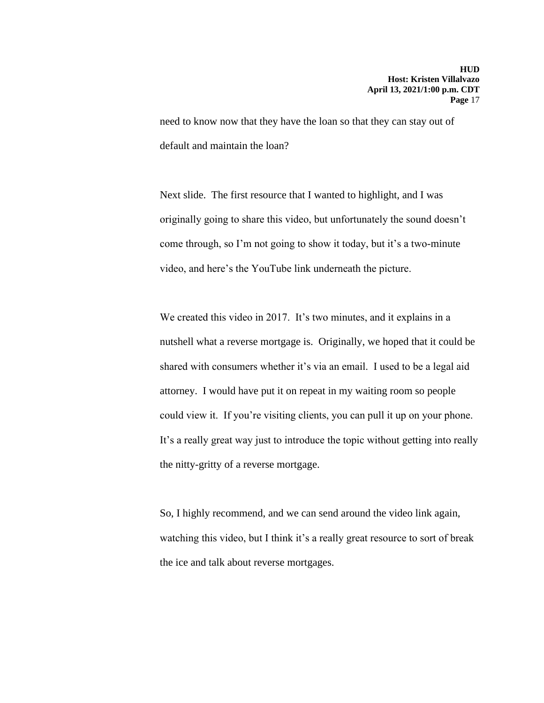need to know now that they have the loan so that they can stay out of default and maintain the loan?

Next slide. The first resource that I wanted to highlight, and I was originally going to share this video, but unfortunately the sound doesn't come through, so I'm not going to show it today, but it's a two-minute video, and here's the YouTube link underneath the picture.

We created this video in 2017. It's two minutes, and it explains in a nutshell what a reverse mortgage is. Originally, we hoped that it could be shared with consumers whether it's via an email. I used to be a legal aid attorney. I would have put it on repeat in my waiting room so people could view it. If you're visiting clients, you can pull it up on your phone. It's a really great way just to introduce the topic without getting into really the nitty-gritty of a reverse mortgage.

So, I highly recommend, and we can send around the video link again, watching this video, but I think it's a really great resource to sort of break the ice and talk about reverse mortgages.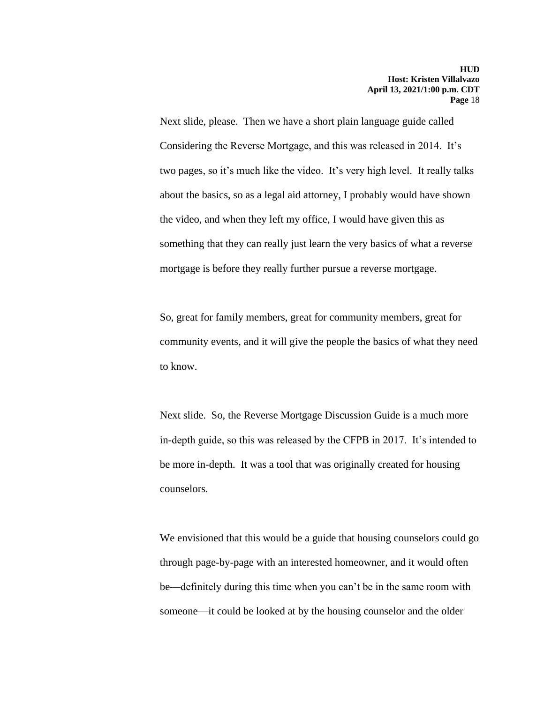Next slide, please. Then we have a short plain language guide called Considering the Reverse Mortgage, and this was released in 2014. It's two pages, so it's much like the video. It's very high level. It really talks about the basics, so as a legal aid attorney, I probably would have shown the video, and when they left my office, I would have given this as something that they can really just learn the very basics of what a reverse mortgage is before they really further pursue a reverse mortgage.

So, great for family members, great for community members, great for community events, and it will give the people the basics of what they need to know.

Next slide. So, the Reverse Mortgage Discussion Guide is a much more in-depth guide, so this was released by the CFPB in 2017. It's intended to be more in-depth. It was a tool that was originally created for housing counselors.

We envisioned that this would be a guide that housing counselors could go through page-by-page with an interested homeowner, and it would often be—definitely during this time when you can't be in the same room with someone—it could be looked at by the housing counselor and the older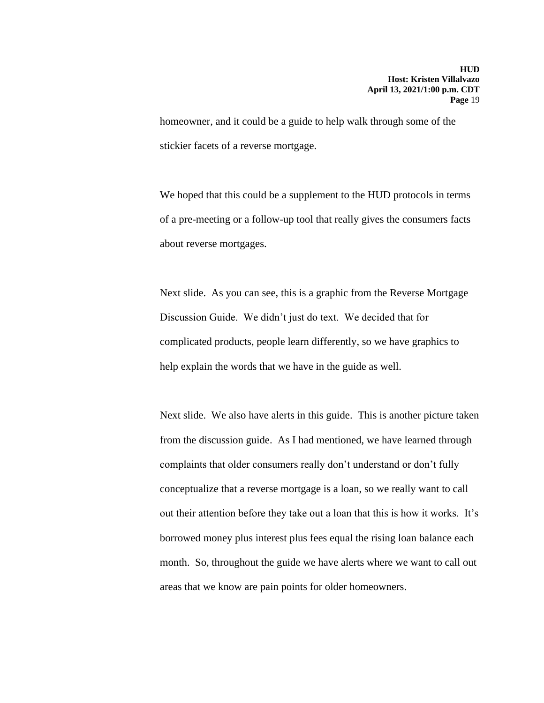homeowner, and it could be a guide to help walk through some of the stickier facets of a reverse mortgage.

We hoped that this could be a supplement to the HUD protocols in terms of a pre-meeting or a follow-up tool that really gives the consumers facts about reverse mortgages.

Next slide. As you can see, this is a graphic from the Reverse Mortgage Discussion Guide. We didn't just do text. We decided that for complicated products, people learn differently, so we have graphics to help explain the words that we have in the guide as well.

Next slide. We also have alerts in this guide. This is another picture taken from the discussion guide. As I had mentioned, we have learned through complaints that older consumers really don't understand or don't fully conceptualize that a reverse mortgage is a loan, so we really want to call out their attention before they take out a loan that this is how it works. It's borrowed money plus interest plus fees equal the rising loan balance each month. So, throughout the guide we have alerts where we want to call out areas that we know are pain points for older homeowners.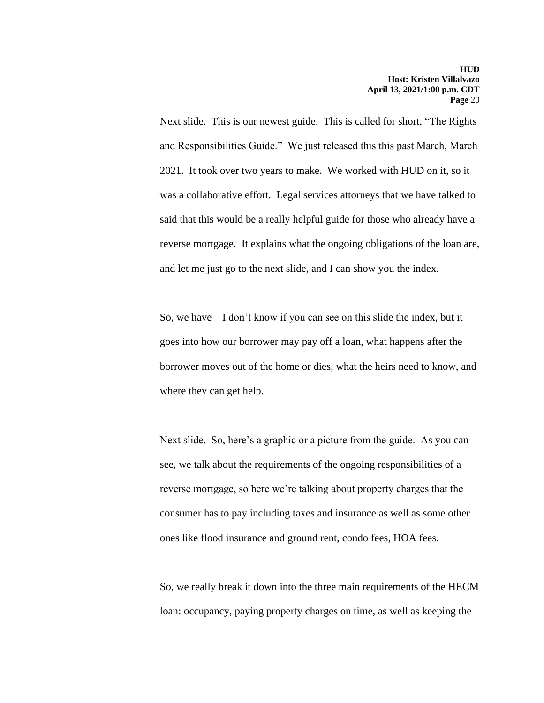Next slide. This is our newest guide. This is called for short, "The Rights and Responsibilities Guide." We just released this this past March, March 2021. It took over two years to make. We worked with HUD on it, so it was a collaborative effort. Legal services attorneys that we have talked to said that this would be a really helpful guide for those who already have a reverse mortgage. It explains what the ongoing obligations of the loan are, and let me just go to the next slide, and I can show you the index.

So, we have—I don't know if you can see on this slide the index, but it goes into how our borrower may pay off a loan, what happens after the borrower moves out of the home or dies, what the heirs need to know, and where they can get help.

Next slide. So, here's a graphic or a picture from the guide. As you can see, we talk about the requirements of the ongoing responsibilities of a reverse mortgage, so here we're talking about property charges that the consumer has to pay including taxes and insurance as well as some other ones like flood insurance and ground rent, condo fees, HOA fees.

So, we really break it down into the three main requirements of the HECM loan: occupancy, paying property charges on time, as well as keeping the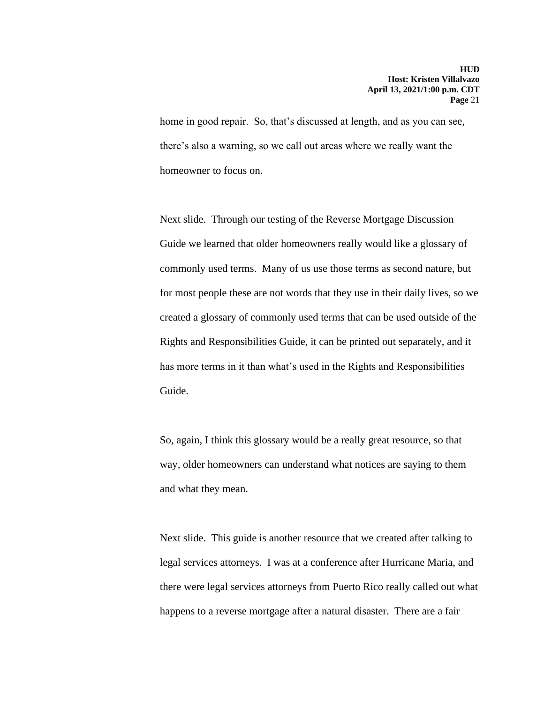home in good repair. So, that's discussed at length, and as you can see, there's also a warning, so we call out areas where we really want the homeowner to focus on.

Next slide. Through our testing of the Reverse Mortgage Discussion Guide we learned that older homeowners really would like a glossary of commonly used terms. Many of us use those terms as second nature, but for most people these are not words that they use in their daily lives, so we created a glossary of commonly used terms that can be used outside of the Rights and Responsibilities Guide, it can be printed out separately, and it has more terms in it than what's used in the Rights and Responsibilities Guide.

So, again, I think this glossary would be a really great resource, so that way, older homeowners can understand what notices are saying to them and what they mean.

Next slide. This guide is another resource that we created after talking to legal services attorneys. I was at a conference after Hurricane Maria, and there were legal services attorneys from Puerto Rico really called out what happens to a reverse mortgage after a natural disaster. There are a fair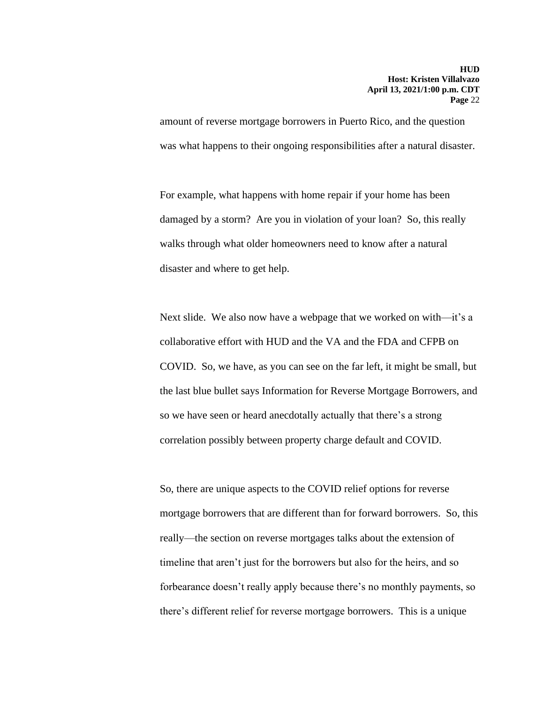amount of reverse mortgage borrowers in Puerto Rico, and the question was what happens to their ongoing responsibilities after a natural disaster.

For example, what happens with home repair if your home has been damaged by a storm? Are you in violation of your loan? So, this really walks through what older homeowners need to know after a natural disaster and where to get help.

Next slide. We also now have a webpage that we worked on with—it's a collaborative effort with HUD and the VA and the FDA and CFPB on COVID. So, we have, as you can see on the far left, it might be small, but the last blue bullet says Information for Reverse Mortgage Borrowers, and so we have seen or heard anecdotally actually that there's a strong correlation possibly between property charge default and COVID.

So, there are unique aspects to the COVID relief options for reverse mortgage borrowers that are different than for forward borrowers. So, this really—the section on reverse mortgages talks about the extension of timeline that aren't just for the borrowers but also for the heirs, and so forbearance doesn't really apply because there's no monthly payments, so there's different relief for reverse mortgage borrowers. This is a unique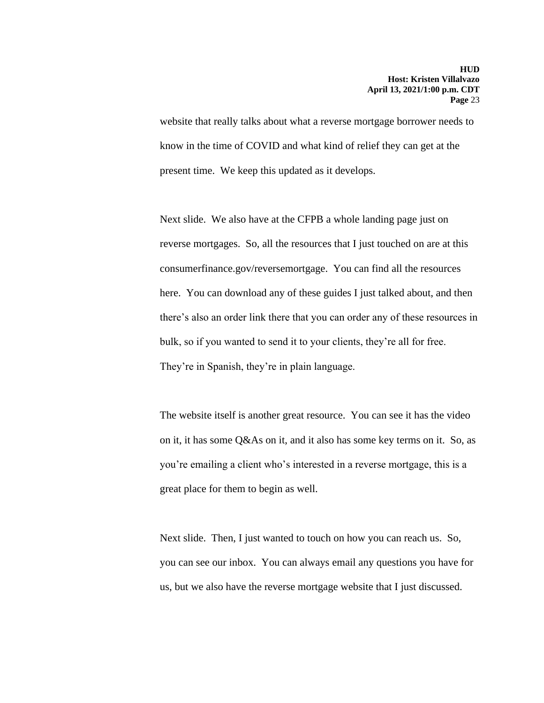website that really talks about what a reverse mortgage borrower needs to know in the time of COVID and what kind of relief they can get at the present time. We keep this updated as it develops.

Next slide. We also have at the CFPB a whole landing page just on reverse mortgages. So, all the resources that I just touched on are at this consumerfinance.gov/reversemortgage. You can find all the resources here. You can download any of these guides I just talked about, and then there's also an order link there that you can order any of these resources in bulk, so if you wanted to send it to your clients, they're all for free. They're in Spanish, they're in plain language.

The website itself is another great resource. You can see it has the video on it, it has some Q&As on it, and it also has some key terms on it. So, as you're emailing a client who's interested in a reverse mortgage, this is a great place for them to begin as well.

Next slide. Then, I just wanted to touch on how you can reach us. So, you can see our inbox. You can always email any questions you have for us, but we also have the reverse mortgage website that I just discussed.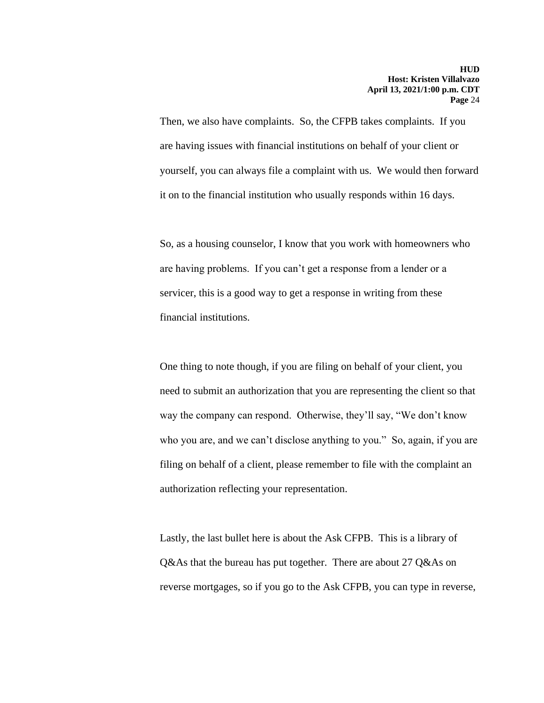Then, we also have complaints. So, the CFPB takes complaints. If you are having issues with financial institutions on behalf of your client or yourself, you can always file a complaint with us. We would then forward it on to the financial institution who usually responds within 16 days.

So, as a housing counselor, I know that you work with homeowners who are having problems. If you can't get a response from a lender or a servicer, this is a good way to get a response in writing from these financial institutions.

One thing to note though, if you are filing on behalf of your client, you need to submit an authorization that you are representing the client so that way the company can respond. Otherwise, they'll say, "We don't know who you are, and we can't disclose anything to you." So, again, if you are filing on behalf of a client, please remember to file with the complaint an authorization reflecting your representation.

Lastly, the last bullet here is about the Ask CFPB. This is a library of Q&As that the bureau has put together. There are about 27 Q&As on reverse mortgages, so if you go to the Ask CFPB, you can type in reverse,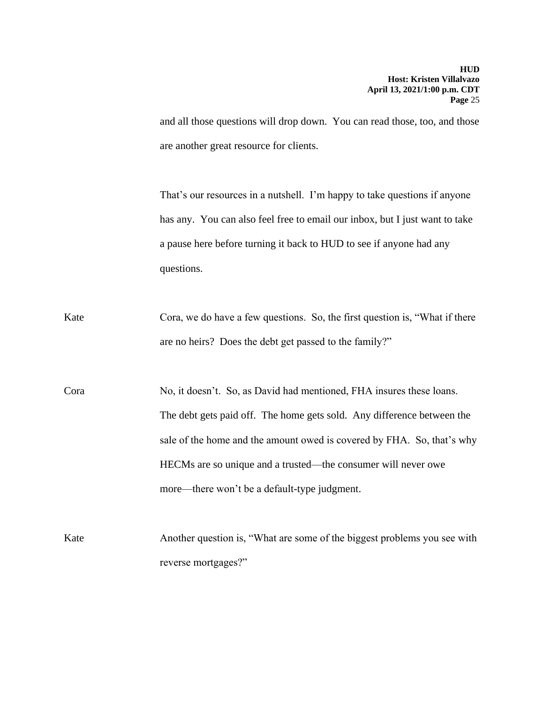and all those questions will drop down. You can read those, too, and those are another great resource for clients.

That's our resources in a nutshell. I'm happy to take questions if anyone has any. You can also feel free to email our inbox, but I just want to take a pause here before turning it back to HUD to see if anyone had any questions.

- Kate Cora, we do have a few questions. So, the first question is, "What if there are no heirs? Does the debt get passed to the family?"
- Cora No, it doesn't. So, as David had mentioned, FHA insures these loans. The debt gets paid off. The home gets sold. Any difference between the sale of the home and the amount owed is covered by FHA. So, that's why HECMs are so unique and a trusted—the consumer will never owe more—there won't be a default-type judgment.
- Kate Another question is, "What are some of the biggest problems you see with reverse mortgages?"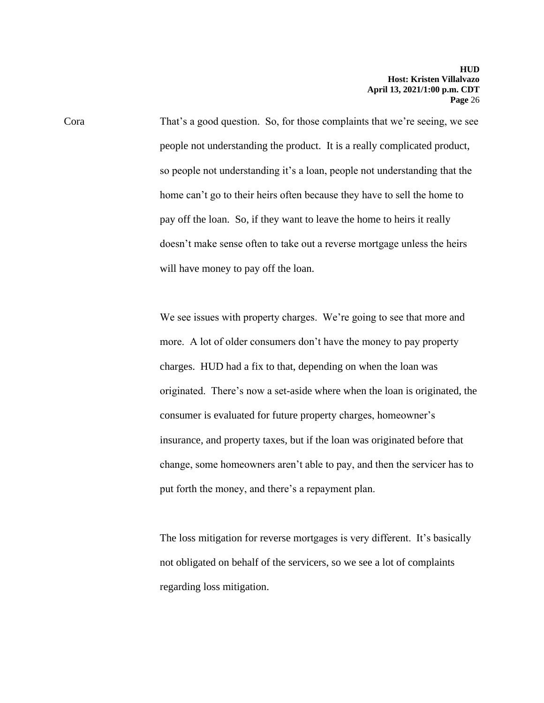Cora That's a good question. So, for those complaints that we're seeing, we see people not understanding the product. It is a really complicated product, so people not understanding it's a loan, people not understanding that the home can't go to their heirs often because they have to sell the home to pay off the loan. So, if they want to leave the home to heirs it really doesn't make sense often to take out a reverse mortgage unless the heirs will have money to pay off the loan.

> We see issues with property charges. We're going to see that more and more. A lot of older consumers don't have the money to pay property charges. HUD had a fix to that, depending on when the loan was originated. There's now a set-aside where when the loan is originated, the consumer is evaluated for future property charges, homeowner's insurance, and property taxes, but if the loan was originated before that change, some homeowners aren't able to pay, and then the servicer has to put forth the money, and there's a repayment plan.

The loss mitigation for reverse mortgages is very different. It's basically not obligated on behalf of the servicers, so we see a lot of complaints regarding loss mitigation.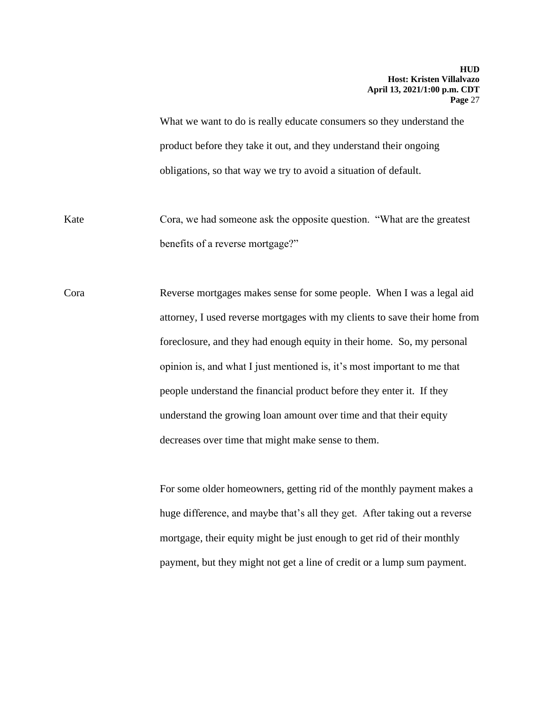What we want to do is really educate consumers so they understand the product before they take it out, and they understand their ongoing obligations, so that way we try to avoid a situation of default.

Kate Cora, we had someone ask the opposite question. "What are the greatest benefits of a reverse mortgage?"

Cora Reverse mortgages makes sense for some people. When I was a legal aid attorney, I used reverse mortgages with my clients to save their home from foreclosure, and they had enough equity in their home. So, my personal opinion is, and what I just mentioned is, it's most important to me that people understand the financial product before they enter it. If they understand the growing loan amount over time and that their equity decreases over time that might make sense to them.

> For some older homeowners, getting rid of the monthly payment makes a huge difference, and maybe that's all they get. After taking out a reverse mortgage, their equity might be just enough to get rid of their monthly payment, but they might not get a line of credit or a lump sum payment.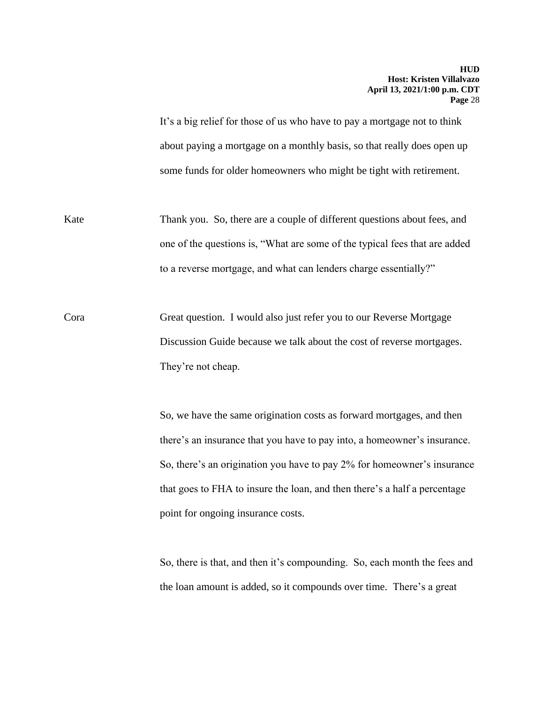It's a big relief for those of us who have to pay a mortgage not to think about paying a mortgage on a monthly basis, so that really does open up some funds for older homeowners who might be tight with retirement.

Kate Thank you. So, there are a couple of different questions about fees, and one of the questions is, "What are some of the typical fees that are added to a reverse mortgage, and what can lenders charge essentially?"

Cora Great question. I would also just refer you to our Reverse Mortgage Discussion Guide because we talk about the cost of reverse mortgages. They're not cheap.

> So, we have the same origination costs as forward mortgages, and then there's an insurance that you have to pay into, a homeowner's insurance. So, there's an origination you have to pay 2% for homeowner's insurance that goes to FHA to insure the loan, and then there's a half a percentage point for ongoing insurance costs.

> So, there is that, and then it's compounding. So, each month the fees and the loan amount is added, so it compounds over time. There's a great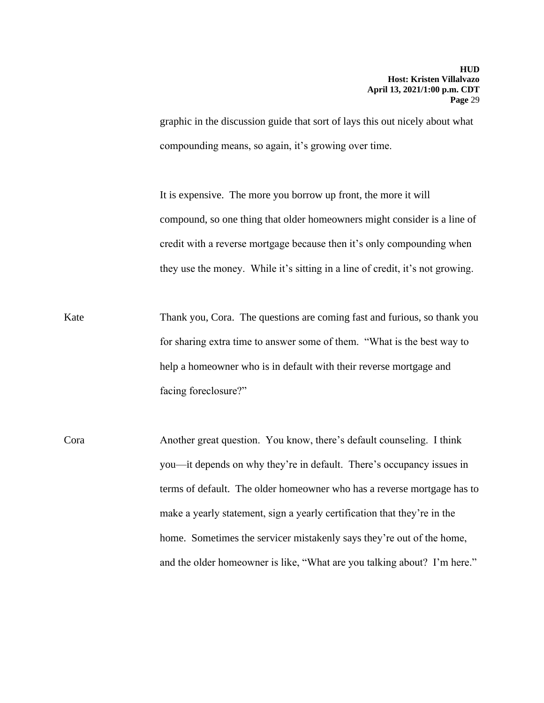graphic in the discussion guide that sort of lays this out nicely about what compounding means, so again, it's growing over time.

It is expensive. The more you borrow up front, the more it will compound, so one thing that older homeowners might consider is a line of credit with a reverse mortgage because then it's only compounding when they use the money. While it's sitting in a line of credit, it's not growing.

Kate Thank you, Cora. The questions are coming fast and furious, so thank you for sharing extra time to answer some of them. "What is the best way to help a homeowner who is in default with their reverse mortgage and facing foreclosure?"

Cora Another great question. You know, there's default counseling. I think you—it depends on why they're in default. There's occupancy issues in terms of default. The older homeowner who has a reverse mortgage has to make a yearly statement, sign a yearly certification that they're in the home. Sometimes the servicer mistakenly says they're out of the home, and the older homeowner is like, "What are you talking about? I'm here."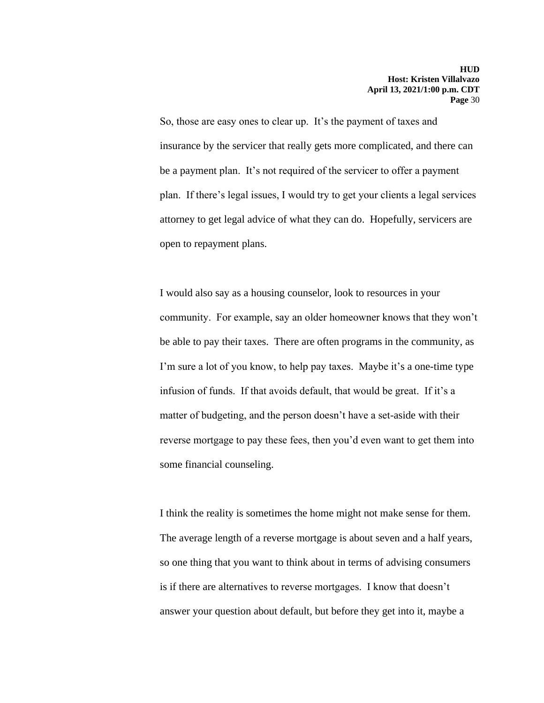So, those are easy ones to clear up. It's the payment of taxes and insurance by the servicer that really gets more complicated, and there can be a payment plan. It's not required of the servicer to offer a payment plan. If there's legal issues, I would try to get your clients a legal services attorney to get legal advice of what they can do. Hopefully, servicers are open to repayment plans.

I would also say as a housing counselor, look to resources in your community. For example, say an older homeowner knows that they won't be able to pay their taxes. There are often programs in the community, as I'm sure a lot of you know, to help pay taxes. Maybe it's a one-time type infusion of funds. If that avoids default, that would be great. If it's a matter of budgeting, and the person doesn't have a set-aside with their reverse mortgage to pay these fees, then you'd even want to get them into some financial counseling.

I think the reality is sometimes the home might not make sense for them. The average length of a reverse mortgage is about seven and a half years, so one thing that you want to think about in terms of advising consumers is if there are alternatives to reverse mortgages. I know that doesn't answer your question about default, but before they get into it, maybe a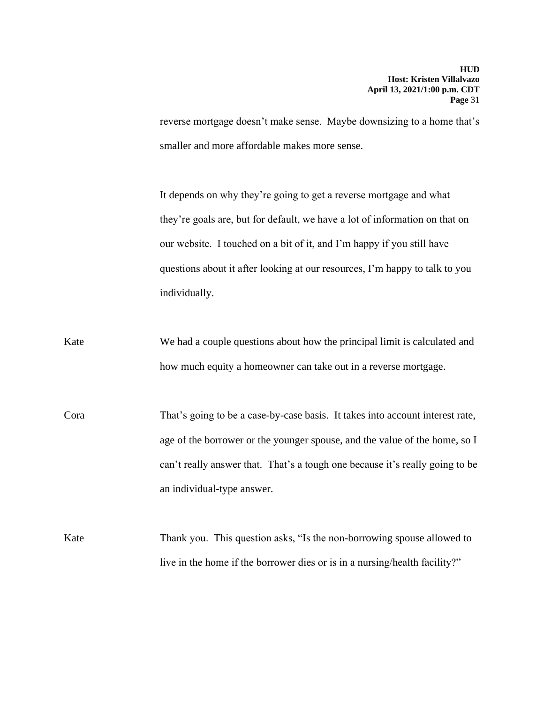reverse mortgage doesn't make sense. Maybe downsizing to a home that's smaller and more affordable makes more sense.

It depends on why they're going to get a reverse mortgage and what they're goals are, but for default, we have a lot of information on that on our website. I touched on a bit of it, and I'm happy if you still have questions about it after looking at our resources, I'm happy to talk to you individually.

- Kate We had a couple questions about how the principal limit is calculated and how much equity a homeowner can take out in a reverse mortgage.
- Cora That's going to be a case-by-case basis. It takes into account interest rate, age of the borrower or the younger spouse, and the value of the home, so I can't really answer that. That's a tough one because it's really going to be an individual-type answer.
- Kate Thank you. This question asks, "Is the non-borrowing spouse allowed to live in the home if the borrower dies or is in a nursing/health facility?"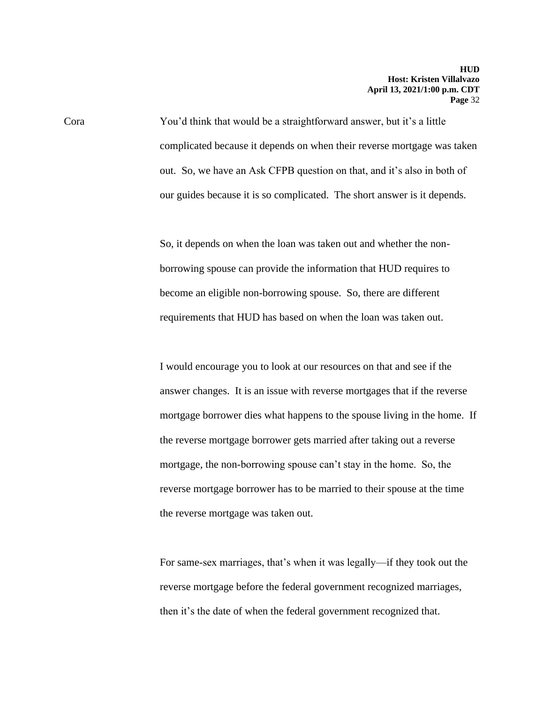Cora You'd think that would be a straightforward answer, but it's a little complicated because it depends on when their reverse mortgage was taken out. So, we have an Ask CFPB question on that, and it's also in both of our guides because it is so complicated. The short answer is it depends.

> So, it depends on when the loan was taken out and whether the nonborrowing spouse can provide the information that HUD requires to become an eligible non-borrowing spouse. So, there are different requirements that HUD has based on when the loan was taken out.

I would encourage you to look at our resources on that and see if the answer changes. It is an issue with reverse mortgages that if the reverse mortgage borrower dies what happens to the spouse living in the home. If the reverse mortgage borrower gets married after taking out a reverse mortgage, the non-borrowing spouse can't stay in the home. So, the reverse mortgage borrower has to be married to their spouse at the time the reverse mortgage was taken out.

For same-sex marriages, that's when it was legally—if they took out the reverse mortgage before the federal government recognized marriages, then it's the date of when the federal government recognized that.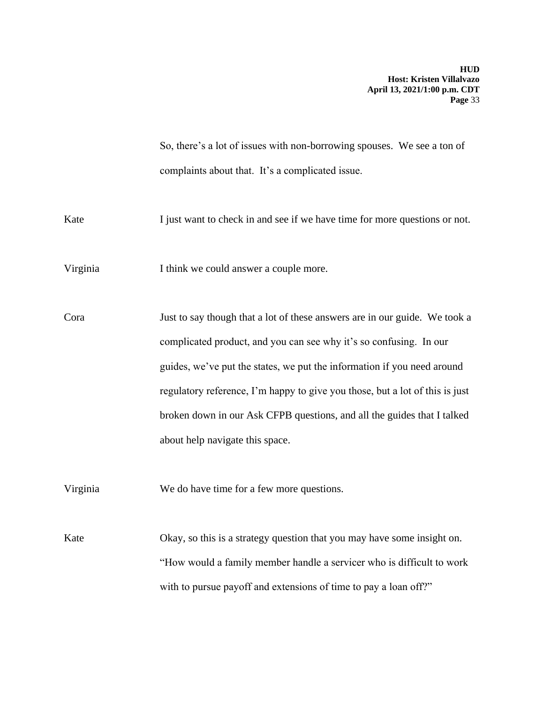So, there's a lot of issues with non-borrowing spouses. We see a ton of complaints about that. It's a complicated issue.

Kate I just want to check in and see if we have time for more questions or not.

Virginia I think we could answer a couple more.

Cora Just to say though that a lot of these answers are in our guide. We took a complicated product, and you can see why it's so confusing. In our guides, we've put the states, we put the information if you need around regulatory reference, I'm happy to give you those, but a lot of this is just broken down in our Ask CFPB questions, and all the guides that I talked about help navigate this space.

Virginia We do have time for a few more questions.

Kate Okay, so this is a strategy question that you may have some insight on. "How would a family member handle a servicer who is difficult to work with to pursue payoff and extensions of time to pay a loan off?"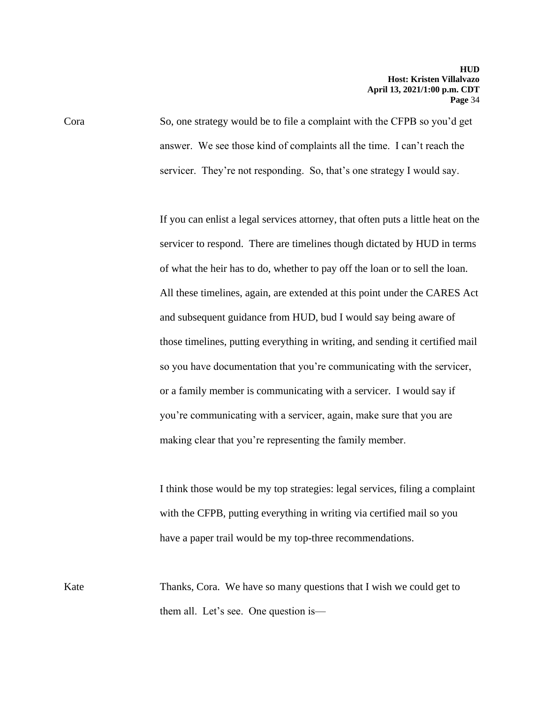Cora So, one strategy would be to file a complaint with the CFPB so you'd get answer. We see those kind of complaints all the time. I can't reach the servicer. They're not responding. So, that's one strategy I would say.

> If you can enlist a legal services attorney, that often puts a little heat on the servicer to respond. There are timelines though dictated by HUD in terms of what the heir has to do, whether to pay off the loan or to sell the loan. All these timelines, again, are extended at this point under the CARES Act and subsequent guidance from HUD, bud I would say being aware of those timelines, putting everything in writing, and sending it certified mail so you have documentation that you're communicating with the servicer, or a family member is communicating with a servicer. I would say if you're communicating with a servicer, again, make sure that you are making clear that you're representing the family member.

I think those would be my top strategies: legal services, filing a complaint with the CFPB, putting everything in writing via certified mail so you have a paper trail would be my top-three recommendations.

Kate Thanks, Cora. We have so many questions that I wish we could get to them all. Let's see. One question is—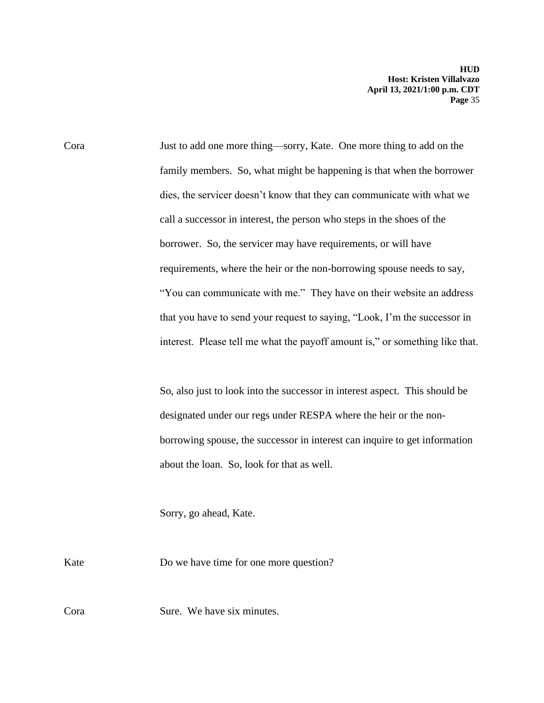Cora Just to add one more thing—sorry, Kate. One more thing to add on the family members. So, what might be happening is that when the borrower dies, the servicer doesn't know that they can communicate with what we call a successor in interest, the person who steps in the shoes of the borrower. So, the servicer may have requirements, or will have requirements, where the heir or the non-borrowing spouse needs to say, "You can communicate with me." They have on their website an address that you have to send your request to saying, "Look, I'm the successor in interest. Please tell me what the payoff amount is," or something like that.

> So, also just to look into the successor in interest aspect. This should be designated under our regs under RESPA where the heir or the nonborrowing spouse, the successor in interest can inquire to get information about the loan. So, look for that as well.

Sorry, go ahead, Kate.

Kate Do we have time for one more question?

Cora Sure. We have six minutes.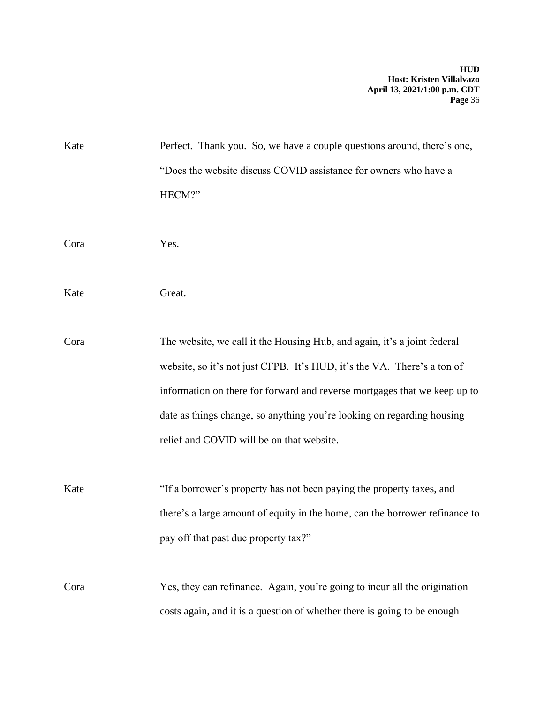| Kate | Perfect. Thank you. So, we have a couple questions around, there's one,     |
|------|-----------------------------------------------------------------------------|
|      | "Does the website discuss COVID assistance for owners who have a            |
|      | HECM?"                                                                      |
|      |                                                                             |
| Cora | Yes.                                                                        |
|      |                                                                             |
| Kate | Great.                                                                      |
|      |                                                                             |
| Cora | The website, we call it the Housing Hub, and again, it's a joint federal    |
|      | website, so it's not just CFPB. It's HUD, it's the VA. There's a ton of     |
|      | information on there for forward and reverse mortgages that we keep up to   |
|      | date as things change, so anything you're looking on regarding housing      |
|      | relief and COVID will be on that website.                                   |
|      |                                                                             |
| Kate | "If a borrower's property has not been paying the property taxes, and       |
|      | there's a large amount of equity in the home, can the borrower refinance to |
|      | pay off that past due property tax?"                                        |
|      |                                                                             |
| Cora | Yes, they can refinance. Again, you're going to incur all the origination   |
|      | costs again, and it is a question of whether there is going to be enough    |
|      |                                                                             |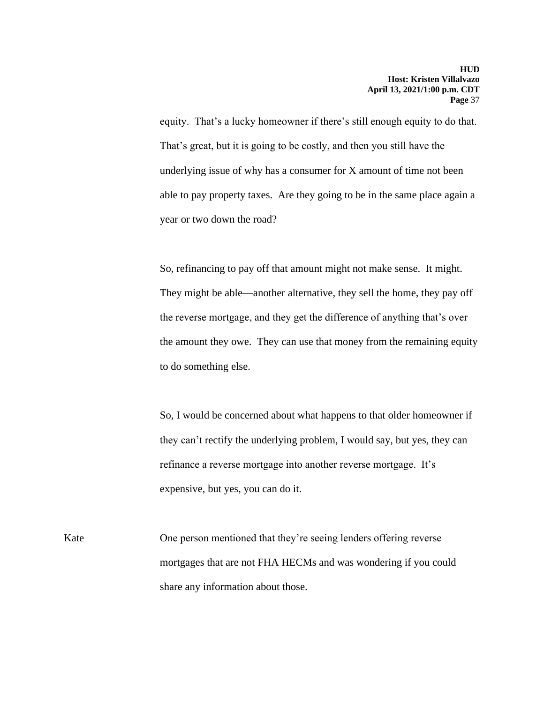equity. That's a lucky homeowner if there's still enough equity to do that. That's great, but it is going to be costly, and then you still have the underlying issue of why has a consumer for X amount of time not been able to pay property taxes. Are they going to be in the same place again a year or two down the road?

So, refinancing to pay off that amount might not make sense. It might. They might be able—another alternative, they sell the home, they pay off the reverse mortgage, and they get the difference of anything that's over the amount they owe. They can use that money from the remaining equity to do something else.

So, I would be concerned about what happens to that older homeowner if they can't rectify the underlying problem, I would say, but yes, they can refinance a reverse mortgage into another reverse mortgage. It's expensive, but yes, you can do it.

Kate One person mentioned that they're seeing lenders offering reverse mortgages that are not FHA HECMs and was wondering if you could share any information about those.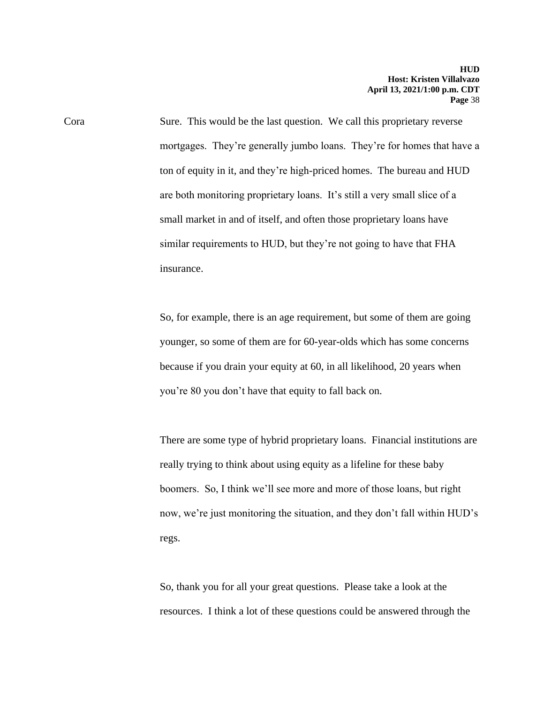Cora Sure. This would be the last question. We call this proprietary reverse mortgages. They're generally jumbo loans. They're for homes that have a ton of equity in it, and they're high-priced homes. The bureau and HUD are both monitoring proprietary loans. It's still a very small slice of a small market in and of itself, and often those proprietary loans have similar requirements to HUD, but they're not going to have that FHA insurance.

> So, for example, there is an age requirement, but some of them are going younger, so some of them are for 60-year-olds which has some concerns because if you drain your equity at 60, in all likelihood, 20 years when you're 80 you don't have that equity to fall back on.

There are some type of hybrid proprietary loans. Financial institutions are really trying to think about using equity as a lifeline for these baby boomers. So, I think we'll see more and more of those loans, but right now, we're just monitoring the situation, and they don't fall within HUD's regs.

So, thank you for all your great questions. Please take a look at the resources. I think a lot of these questions could be answered through the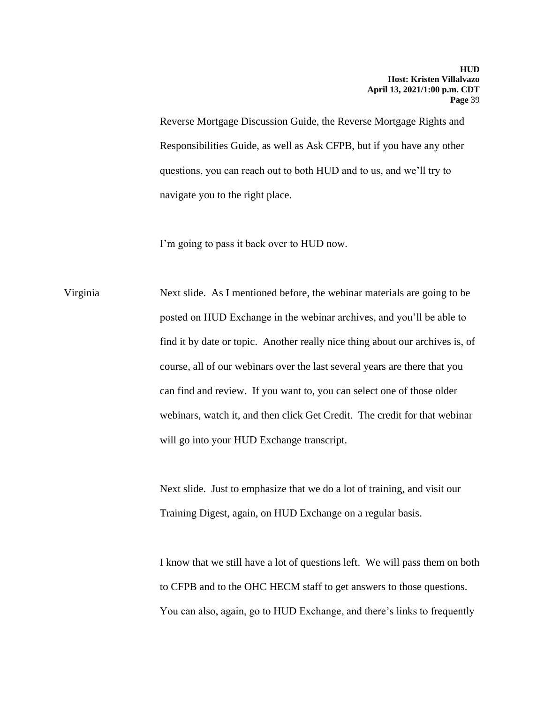Reverse Mortgage Discussion Guide, the Reverse Mortgage Rights and Responsibilities Guide, as well as Ask CFPB, but if you have any other questions, you can reach out to both HUD and to us, and we'll try to navigate you to the right place.

I'm going to pass it back over to HUD now.

Virginia Next slide. As I mentioned before, the webinar materials are going to be posted on HUD Exchange in the webinar archives, and you'll be able to find it by date or topic. Another really nice thing about our archives is, of course, all of our webinars over the last several years are there that you can find and review. If you want to, you can select one of those older webinars, watch it, and then click Get Credit. The credit for that webinar will go into your HUD Exchange transcript.

> Next slide. Just to emphasize that we do a lot of training, and visit our Training Digest, again, on HUD Exchange on a regular basis.

I know that we still have a lot of questions left. We will pass them on both to CFPB and to the OHC HECM staff to get answers to those questions. You can also, again, go to HUD Exchange, and there's links to frequently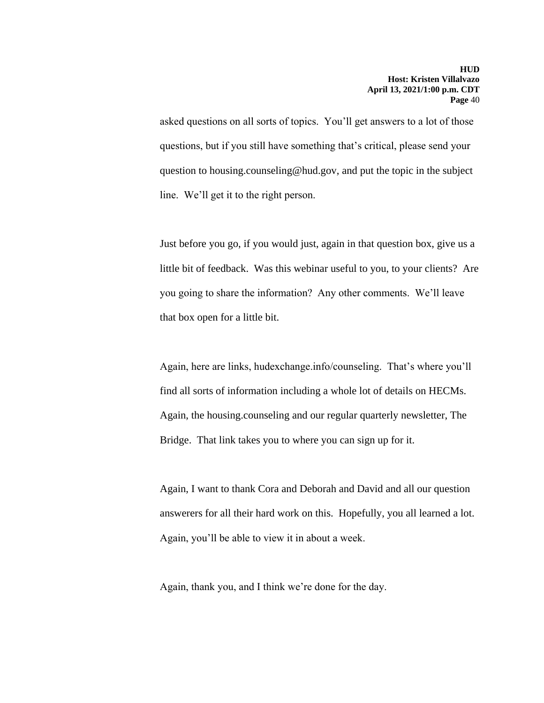asked questions on all sorts of topics. You'll get answers to a lot of those questions, but if you still have something that's critical, please send your question to housing.counseling@hud.gov, and put the topic in the subject line. We'll get it to the right person.

Just before you go, if you would just, again in that question box, give us a little bit of feedback. Was this webinar useful to you, to your clients? Are you going to share the information? Any other comments. We'll leave that box open for a little bit.

Again, here are links, hudexchange.info/counseling. That's where you'll find all sorts of information including a whole lot of details on HECMs. Again, the housing.counseling and our regular quarterly newsletter, The Bridge. That link takes you to where you can sign up for it.

Again, I want to thank Cora and Deborah and David and all our question answerers for all their hard work on this. Hopefully, you all learned a lot. Again, you'll be able to view it in about a week.

Again, thank you, and I think we're done for the day.